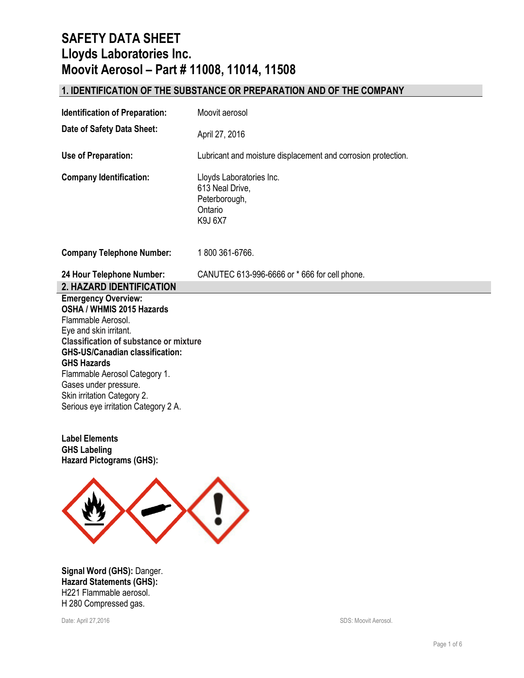# **1. IDENTIFICATION OF THE SUBSTANCE OR PREPARATION AND OF THE COMPANY**

| <b>Identification of Preparation:</b>                                                                                                                                                                                                                                              | Moovit aerosol                                                                            |
|------------------------------------------------------------------------------------------------------------------------------------------------------------------------------------------------------------------------------------------------------------------------------------|-------------------------------------------------------------------------------------------|
| Date of Safety Data Sheet:                                                                                                                                                                                                                                                         | April 27, 2016                                                                            |
| Use of Preparation:                                                                                                                                                                                                                                                                | Lubricant and moisture displacement and corrosion protection.                             |
| <b>Company Identification:</b>                                                                                                                                                                                                                                                     | Lloyds Laboratories Inc.<br>613 Neal Drive,<br>Peterborough,<br>Ontario<br><b>K9J 6X7</b> |
| <b>Company Telephone Number:</b>                                                                                                                                                                                                                                                   | 1800 361-6766.                                                                            |
| 24 Hour Telephone Number:                                                                                                                                                                                                                                                          | CANUTEC 613-996-6666 or * 666 for cell phone.                                             |
| 2. HAZARD IDENTIFICATION                                                                                                                                                                                                                                                           |                                                                                           |
| <b>Emergency Overview:</b><br>OSHA / WHMIS 2015 Hazards<br>Flammable Aerosol.<br>Eye and skin irritant.<br><b>Classification of substance or mixture</b><br><b>GHS-US/Canadian classification:</b><br><b>GHS Hazards</b><br>Flammable Aerosol Category 1.<br>Gases under pressure. |                                                                                           |

**Label Elements GHS Labeling Hazard Pictograms (GHS):**



**Signal Word (GHS):** Danger. **Hazard Statements (GHS):** H221 Flammable aerosol. H 280 Compressed gas.

Date: April 27,2016 SDS: Moovit Aerosol.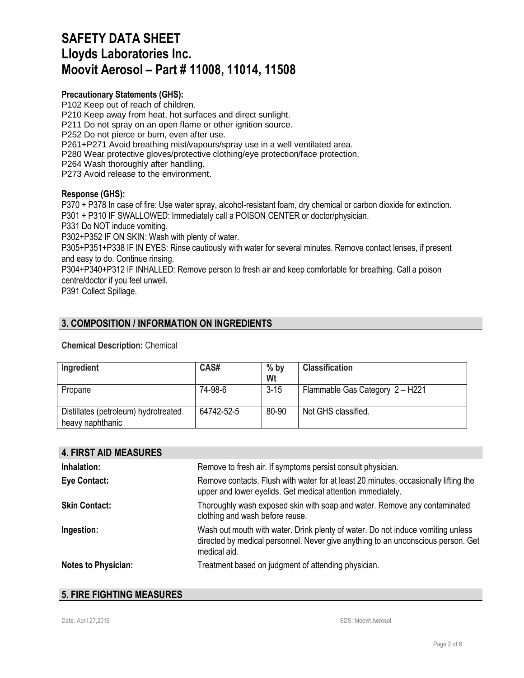### **Precautionary Statements (GHS):**

P102 Keep out of reach of children. P210 Keep away from heat, hot surfaces and direct sunlight. P211 Do not spray on an open flame or other ignition source. P252 Do not pierce or burn, even after use. P261+P271 Avoid breathing mist/vapours/spray use in a well ventilated area. P280 Wear protective gloves/protective clothing/eye protection/face protection. P264 Wash thoroughly after handling. P273 Avoid release to the environment.

#### **Response (GHS):**

P370 + P378 In case of fire: Use water spray, alcohol-resistant foam, dry chemical or carbon dioxide for extinction. P301 + P310 IF SWALLOWED: Immediately call a POISON CENTER or doctor/physician.

P331 Do NOT induce vomiting.

P302+P352 IF ON SKIN: Wash with plenty of water.

P305+P351+P338 IF IN EYES: Rinse cautiously with water for several minutes. Remove contact lenses, if present and easy to do. Continue rinsing.

P304+P340+P312 IF INHALLED: Remove person to fresh air and keep comfortable for breathing. Call a poison centre/doctor if you feel unwell.

P391 Collect Spillage.

### **3. COMPOSITION / INFORMATION ON INGREDIENTS**

### **Chemical Description:** Chemical

| Ingredient                                               | CAS#       | $%$ by<br>Wt | <b>Classification</b>           |
|----------------------------------------------------------|------------|--------------|---------------------------------|
| Propane                                                  | 74-98-6    | $3 - 15$     | Flammable Gas Category 2 - H221 |
| Distillates (petroleum) hydrotreated<br>heavy naphthanic | 64742-52-5 | 80-90        | Not GHS classified.             |

| <b>4. FIRST AID MEASURES</b> |                                                                                                                                                                                     |
|------------------------------|-------------------------------------------------------------------------------------------------------------------------------------------------------------------------------------|
| Inhalation:                  | Remove to fresh air. If symptoms persist consult physician.                                                                                                                         |
| Eye Contact:                 | Remove contacts. Flush with water for at least 20 minutes, occasionally lifting the<br>upper and lower eyelids. Get medical attention immediately.                                  |
| <b>Skin Contact:</b>         | Thoroughly wash exposed skin with soap and water. Remove any contaminated<br>clothing and wash before reuse.                                                                        |
| Ingestion:                   | Wash out mouth with water. Drink plenty of water. Do not induce vomiting unless<br>directed by medical personnel. Never give anything to an unconscious person. Get<br>medical aid. |
| <b>Notes to Physician:</b>   | Treatment based on judgment of attending physician.                                                                                                                                 |

### **5. FIRE FIGHTING MEASURES**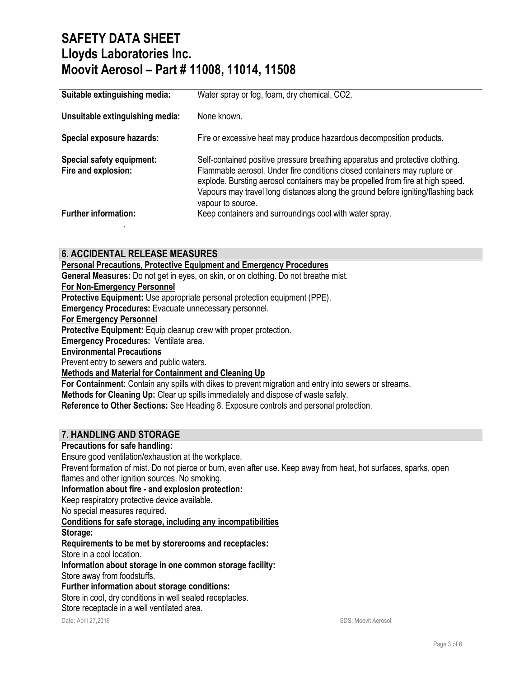| Suitable extinguishing media:                    | Water spray or fog, foam, dry chemical, CO2.                                                                                                                                                                                                                                                                                                          |
|--------------------------------------------------|-------------------------------------------------------------------------------------------------------------------------------------------------------------------------------------------------------------------------------------------------------------------------------------------------------------------------------------------------------|
| Unsuitable extinguishing media:                  | None known.                                                                                                                                                                                                                                                                                                                                           |
| <b>Special exposure hazards:</b>                 | Fire or excessive heat may produce hazardous decomposition products.                                                                                                                                                                                                                                                                                  |
| Special safety equipment:<br>Fire and explosion: | Self-contained positive pressure breathing apparatus and protective clothing.<br>Flammable aerosol. Under fire conditions closed containers may rupture or<br>explode. Bursting aerosol containers may be propelled from fire at high speed.<br>Vapours may travel long distances along the ground before igniting/flashing back<br>vapour to source. |
| <b>Further information:</b>                      | Keep containers and surroundings cool with water spray.                                                                                                                                                                                                                                                                                               |

### **6. ACCIDENTAL RELEASE MEASURES**

**Personal Precautions, Protective Equipment and Emergency Procedures**

**General Measures:** Do not get in eyes, on skin, or on clothing. Do not breathe mist.

### **For Non-Emergency Personnel**

**Protective Equipment:** Use appropriate personal protection equipment (PPE).

**Emergency Procedures:** Evacuate unnecessary personnel.

#### **For Emergency Personnel**

**Protective Equipment:** Equip cleanup crew with proper protection.

**Emergency Procedures:** Ventilate area.

### **Environmental Precautions**

Prevent entry to sewers and public waters.

### **Methods and Material for Containment and Cleaning Up**

**For Containment:** Contain any spills with dikes to prevent migration and entry into sewers or streams.

**Methods for Cleaning Up:** Clear up spills immediately and dispose of waste safely.

**Reference to Other Sections:** See Heading 8. Exposure controls and personal protection.

## **7. HANDLING AND STORAGE**

### **Precautions for safe handling:**

Ensure good ventilation/exhaustion at the workplace.

Prevent formation of mist. Do not pierce or burn, even after use. Keep away from heat, hot surfaces, sparks, open flames and other ignition sources. No smoking.

**Information about fire - and explosion protection:**

Keep respiratory protective device available.

No special measures required.

**Conditions for safe storage, including any incompatibilities**

#### **Storage:**

### **Requirements to be met by storerooms and receptacles:**

Store in a cool location.

**Information about storage in one common storage facility:**

Store away from foodstuffs.

**Further information about storage conditions:**

Store in cool, dry conditions in well sealed receptacles.

Store receptacle in a well ventilated area.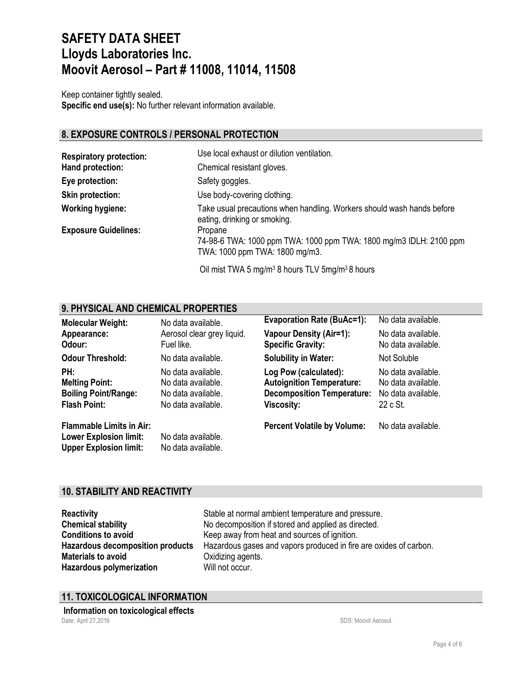Keep container tightly sealed. **Specific end use(s):** No further relevant information available.

# **8. EXPOSURE CONTROLS / PERSONAL PROTECTION**

| <b>Respiratory protection:</b> | Use local exhaust or dilution ventilation.                                                                      |
|--------------------------------|-----------------------------------------------------------------------------------------------------------------|
| Hand protection:               | Chemical resistant gloves.                                                                                      |
| Eye protection:                | Safety goggles.                                                                                                 |
| <b>Skin protection:</b>        | Use body-covering clothing.                                                                                     |
| <b>Working hygiene:</b>        | Take usual precautions when handling. Workers should wash hands before<br>eating, drinking or smoking.          |
| <b>Exposure Guidelines:</b>    | Propane<br>74-98-6 TWA: 1000 ppm TWA: 1000 ppm TWA: 1800 mg/m3 IDLH: 2100 ppm<br>TWA: 1000 ppm TWA: 1800 mg/m3. |

Oil mist TWA 5 mg/m3 8 hours TLV 5mg/m3 8 hours

# **9. PHYSICAL AND CHEMICAL PROPERTIES**

| <b>Molecular Weight:</b>                                                                          | No data available.                                                                   | <b>Evaporation Rate (BuAc=1):</b>                                                                            | No data available.                                                         |
|---------------------------------------------------------------------------------------------------|--------------------------------------------------------------------------------------|--------------------------------------------------------------------------------------------------------------|----------------------------------------------------------------------------|
| Appearance:<br>Odour:                                                                             | Aerosol clear grey liquid.<br>Fuel like.                                             | <b>Vapour Density (Air=1):</b><br><b>Specific Gravity:</b>                                                   | No data available.<br>No data available.                                   |
| <b>Odour Threshold:</b>                                                                           | No data available.                                                                   | <b>Solubility in Water:</b>                                                                                  | Not Soluble                                                                |
| PH:<br><b>Melting Point:</b><br><b>Boiling Point/Range:</b><br><b>Flash Point:</b>                | No data available.<br>No data available.<br>No data available.<br>No data available. | Log Pow (calculated):<br><b>Autoignition Temperature:</b><br><b>Decomposition Temperature:</b><br>Viscosity: | No data available.<br>No data available.<br>No data available.<br>22 c St. |
| <b>Flammable Limits in Air:</b><br><b>Lower Explosion limit:</b><br><b>Upper Explosion limit:</b> | No data available.<br>No data available.                                             | <b>Percent Volatile by Volume:</b>                                                                           | No data available.                                                         |

# **10. STABILITY AND REACTIVITY**

**Materials to avoid Calcularies** Oxidizing agents. **Hazardous polymerization Will not occur.** 

**Reactivity Reactivity** Stable at normal ambient temperature and pressure. **Chemical stability** No decomposition if stored and applied as directed. **Conditions to avoid** Keep away from heat and sources of ignition. **Hazardous decomposition products** Hazardous gases and vapors produced in fire are oxides of carbon.

# **11. TOXICOLOGICAL INFORMATION**

Date: April 27,2016 **Subset April 27,2016** SDS: Moovit Aerosol. **Information on toxicological effects**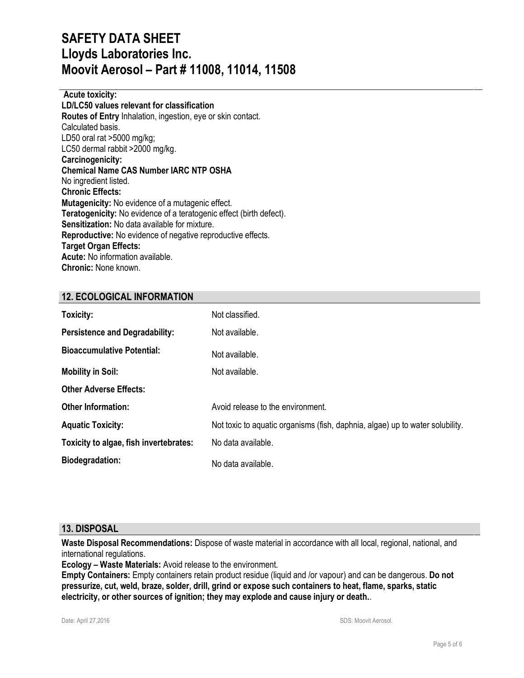**Acute toxicity: LD/LC50 values relevant for classification Routes of Entry** Inhalation, ingestion, eye or skin contact. Calculated basis. LD50 oral rat >5000 mg/kg; LC50 dermal rabbit >2000 mg/kg. **Carcinogenicity: Chemical Name CAS Number IARC NTP OSHA** No ingredient listed. **Chronic Effects: Mutagenicity:** No evidence of a mutagenic effect. **Teratogenicity:** No evidence of a teratogenic effect (birth defect). **Sensitization:** No data available for mixture. **Reproductive:** No evidence of negative reproductive effects. **Target Organ Effects: Acute:** No information available. **Chronic:** None known.

## **12. ECOLOGICAL INFORMATION**

| Toxicity:                              | Not classified.                                                               |
|----------------------------------------|-------------------------------------------------------------------------------|
| <b>Persistence and Degradability:</b>  | Not available.                                                                |
| <b>Bioaccumulative Potential:</b>      | Not available.                                                                |
| <b>Mobility in Soil:</b>               | Not available.                                                                |
| <b>Other Adverse Effects:</b>          |                                                                               |
| <b>Other Information:</b>              | Avoid release to the environment.                                             |
| <b>Aquatic Toxicity:</b>               | Not toxic to aquatic organisms (fish, daphnia, algae) up to water solubility. |
| Toxicity to algae, fish invertebrates: | No data available.                                                            |
| <b>Biodegradation:</b>                 | No data available.                                                            |

### **13. DISPOSAL**

**Waste Disposal Recommendations:** Dispose of waste material in accordance with all local, regional, national, and international regulations.

**Ecology – Waste Materials:** Avoid release to the environment.

**Empty Containers:** Empty containers retain product residue (liquid and /or vapour) and can be dangerous. **Do not pressurize, cut, weld, braze, solder, drill, grind or expose such containers to heat, flame, sparks, static electricity, or other sources of ignition; they may explode and cause injury or death.**.